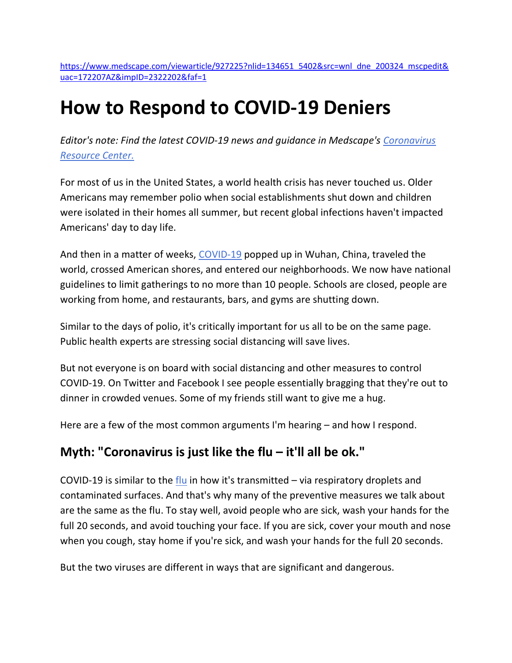https://www.medscape.com/viewarticle/927225?nlid=134651\_5402&src=wnl\_dne\_200324\_mscpedit& uac=172207AZ&impID=2322202&faf=1

## How to Respond to COVID-19 Deniers

Editor's note: Find the latest COVID-19 news and guidance in Medscape's Coronavirus Resource Center.

For most of us in the United States, a world health crisis has never touched us. Older Americans may remember polio when social establishments shut down and children were isolated in their homes all summer, but recent global infections haven't impacted Americans' day to day life.

And then in a matter of weeks, COVID-19 popped up in Wuhan, China, traveled the world, crossed American shores, and entered our neighborhoods. We now have national guidelines to limit gatherings to no more than 10 people. Schools are closed, people are working from home, and restaurants, bars, and gyms are shutting down.

Similar to the days of polio, it's critically important for us all to be on the same page. Public health experts are stressing social distancing will save lives.

But not everyone is on board with social distancing and other measures to control COVID-19. On Twitter and Facebook I see people essentially bragging that they're out to dinner in crowded venues. Some of my friends still want to give me a hug.

Here are a few of the most common arguments I'm hearing – and how I respond.

## Myth: "Coronavirus is just like the flu – it'll all be ok."

COVID-19 is similar to the flu in how it's transmitted  $-$  via respiratory droplets and contaminated surfaces. And that's why many of the preventive measures we talk about are the same as the flu. To stay well, avoid people who are sick, wash your hands for the full 20 seconds, and avoid touching your face. If you are sick, cover your mouth and nose when you cough, stay home if you're sick, and wash your hands for the full 20 seconds.

But the two viruses are different in ways that are significant and dangerous.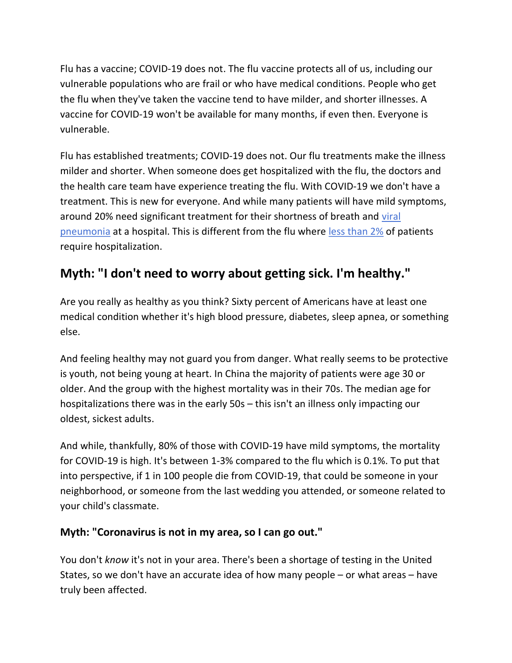Flu has a vaccine; COVID-19 does not. The flu vaccine protects all of us, including our vulnerable populations who are frail or who have medical conditions. People who get the flu when they've taken the vaccine tend to have milder, and shorter illnesses. A vaccine for COVID-19 won't be available for many months, if even then. Everyone is vulnerable.

Flu has established treatments; COVID-19 does not. Our flu treatments make the illness milder and shorter. When someone does get hospitalized with the flu, the doctors and the health care team have experience treating the flu. With COVID-19 we don't have a treatment. This is new for everyone. And while many patients will have mild symptoms, around 20% need significant treatment for their shortness of breath and viral pneumonia at a hospital. This is different from the flu where less than 2% of patients require hospitalization.

## Myth: "I don't need to worry about getting sick. I'm healthy."

Are you really as healthy as you think? Sixty percent of Americans have at least one medical condition whether it's high blood pressure, diabetes, sleep apnea, or something else.

And feeling healthy may not guard you from danger. What really seems to be protective is youth, not being young at heart. In China the majority of patients were age 30 or older. And the group with the highest mortality was in their 70s. The median age for hospitalizations there was in the early 50s – this isn't an illness only impacting our oldest, sickest adults.

And while, thankfully, 80% of those with COVID-19 have mild symptoms, the mortality for COVID-19 is high. It's between 1-3% compared to the flu which is 0.1%. To put that into perspective, if 1 in 100 people die from COVID-19, that could be someone in your neighborhood, or someone from the last wedding you attended, or someone related to your child's classmate.

## Myth: "Coronavirus is not in my area, so I can go out."

You don't know it's not in your area. There's been a shortage of testing in the United States, so we don't have an accurate idea of how many people – or what areas – have truly been affected.